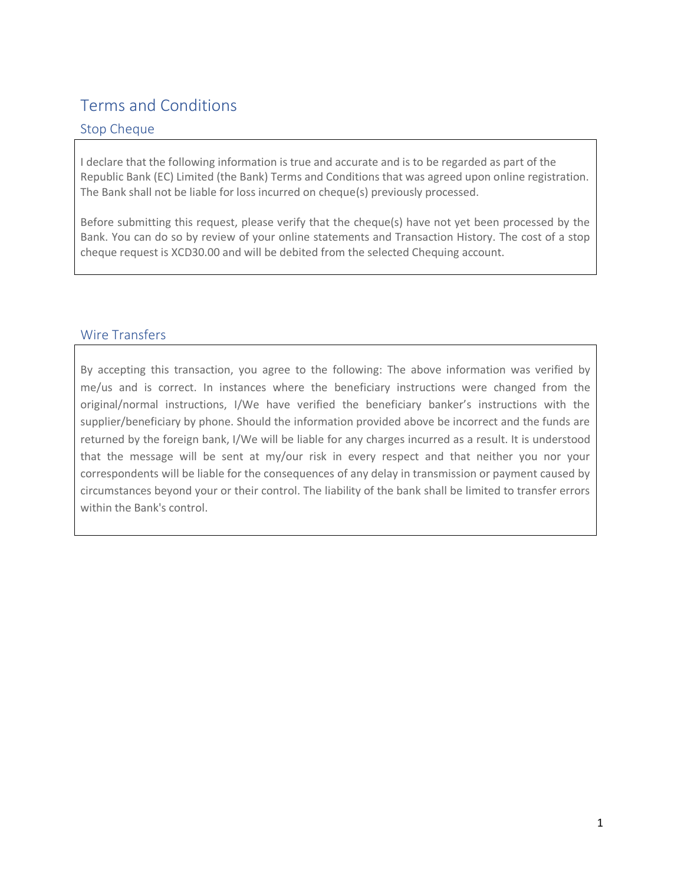# Terms and Conditions

# Stop Cheque

I declare that the following information is true and accurate and is to be regarded as part of the Republic Bank (EC) Limited (the Bank) Terms and Conditions that was agreed upon online registration. The Bank shall not be liable for loss incurred on cheque(s) previously processed.

Before submitting this request, please verify that the cheque(s) have not yet been processed by the Bank. You can do so by review of your online statements and Transaction History. The cost of a stop cheque request is XCD30.00 and will be debited from the selected Chequing account.

# Wire Transfers

By accepting this transaction, you agree to the following: The above information was verified by me/us and is correct. In instances where the beneficiary instructions were changed from the original/normal instructions, I/We have verified the beneficiary banker's instructions with the supplier/beneficiary by phone. Should the information provided above be incorrect and the funds are returned by the foreign bank, I/We will be liable for any charges incurred as a result. It is understood that the message will be sent at my/our risk in every respect and that neither you nor your correspondents will be liable for the consequences of any delay in transmission or payment caused by circumstances beyond your or their control. The liability of the bank shall be limited to transfer errors within the Bank's control.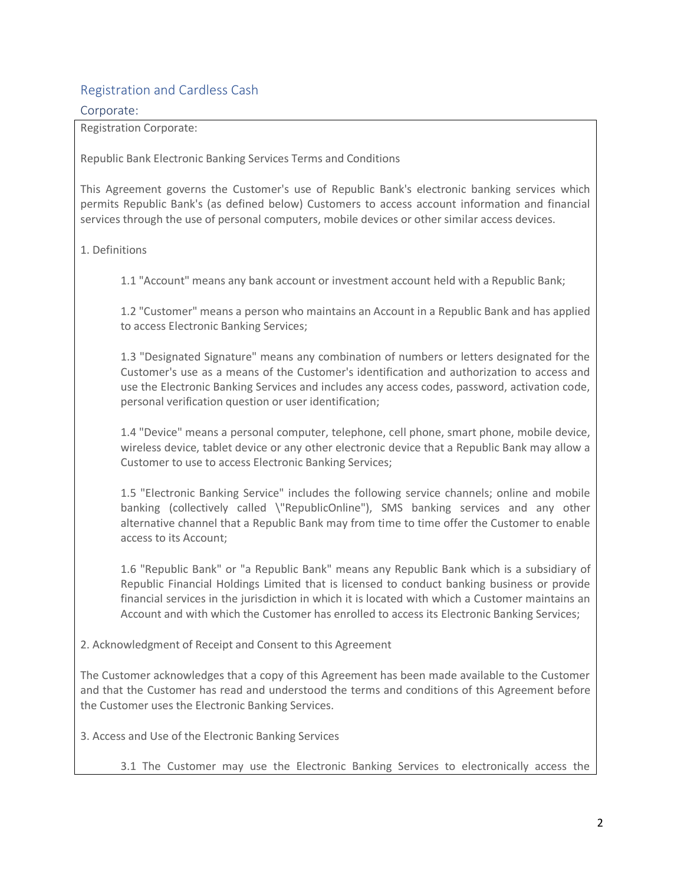# Registration and Cardless Cash

#### Corporate:

Registration Corporate:

Republic Bank Electronic Banking Services Terms and Conditions

This Agreement governs the Customer's use of Republic Bank's electronic banking services which permits Republic Bank's (as defined below) Customers to access account information and financial services through the use of personal computers, mobile devices or other similar access devices.

### 1. Definitions

1.1 "Account" means any bank account or investment account held with a Republic Bank;

1.2 "Customer" means a person who maintains an Account in a Republic Bank and has applied to access Electronic Banking Services;

1.3 "Designated Signature" means any combination of numbers or letters designated for the Customer's use as a means of the Customer's identification and authorization to access and use the Electronic Banking Services and includes any access codes, password, activation code, personal verification question or user identification;

1.4 "Device" means a personal computer, telephone, cell phone, smart phone, mobile device, wireless device, tablet device or any other electronic device that a Republic Bank may allow a Customer to use to access Electronic Banking Services;

1.5 "Electronic Banking Service" includes the following service channels; online and mobile banking (collectively called \"RepublicOnline"), SMS banking services and any other alternative channel that a Republic Bank may from time to time offer the Customer to enable access to its Account;

1.6 "Republic Bank" or "a Republic Bank" means any Republic Bank which is a subsidiary of Republic Financial Holdings Limited that is licensed to conduct banking business or provide financial services in the jurisdiction in which it is located with which a Customer maintains an Account and with which the Customer has enrolled to access its Electronic Banking Services;

2. Acknowledgment of Receipt and Consent to this Agreement

The Customer acknowledges that a copy of this Agreement has been made available to the Customer and that the Customer has read and understood the terms and conditions of this Agreement before the Customer uses the Electronic Banking Services.

3. Access and Use of the Electronic Banking Services

3.1 The Customer may use the Electronic Banking Services to electronically access the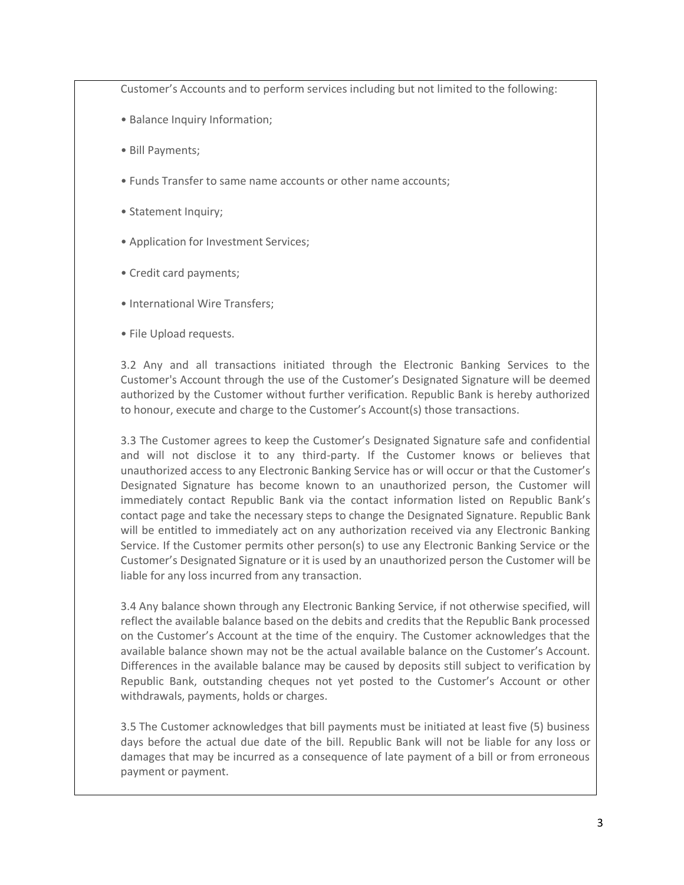Customer's Accounts and to perform services including but not limited to the following:

- Balance Inquiry Information;
- Bill Payments;
- Funds Transfer to same name accounts or other name accounts;
- Statement Inquiry;
- Application for Investment Services;
- Credit card payments;
- International Wire Transfers;
- File Upload requests.

3.2 Any and all transactions initiated through the Electronic Banking Services to the Customer's Account through the use of the Customer's Designated Signature will be deemed authorized by the Customer without further verification. Republic Bank is hereby authorized to honour, execute and charge to the Customer's Account(s) those transactions.

3.3 The Customer agrees to keep the Customer's Designated Signature safe and confidential and will not disclose it to any third-party. If the Customer knows or believes that unauthorized access to any Electronic Banking Service has or will occur or that the Customer's Designated Signature has become known to an unauthorized person, the Customer will immediately contact Republic Bank via the contact information listed on Republic Bank's contact page and take the necessary steps to change the Designated Signature. Republic Bank will be entitled to immediately act on any authorization received via any Electronic Banking Service. If the Customer permits other person(s) to use any Electronic Banking Service or the Customer's Designated Signature or it is used by an unauthorized person the Customer will be liable for any loss incurred from any transaction.

3.4 Any balance shown through any Electronic Banking Service, if not otherwise specified, will reflect the available balance based on the debits and credits that the Republic Bank processed on the Customer's Account at the time of the enquiry. The Customer acknowledges that the available balance shown may not be the actual available balance on the Customer's Account. Differences in the available balance may be caused by deposits still subject to verification by Republic Bank, outstanding cheques not yet posted to the Customer's Account or other withdrawals, payments, holds or charges.

3.5 The Customer acknowledges that bill payments must be initiated at least five (5) business days before the actual due date of the bill. Republic Bank will not be liable for any loss or damages that may be incurred as a consequence of late payment of a bill or from erroneous payment or payment.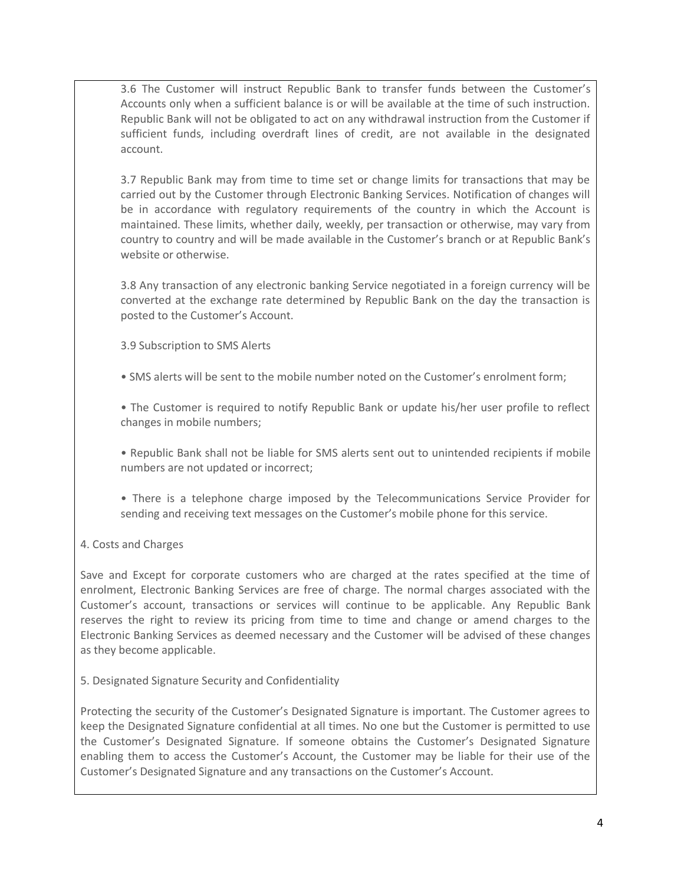3.6 The Customer will instruct Republic Bank to transfer funds between the Customer's Accounts only when a sufficient balance is or will be available at the time of such instruction. Republic Bank will not be obligated to act on any withdrawal instruction from the Customer if sufficient funds, including overdraft lines of credit, are not available in the designated account.

3.7 Republic Bank may from time to time set or change limits for transactions that may be carried out by the Customer through Electronic Banking Services. Notification of changes will be in accordance with regulatory requirements of the country in which the Account is maintained. These limits, whether daily, weekly, per transaction or otherwise, may vary from country to country and will be made available in the Customer's branch or at Republic Bank's website or otherwise.

3.8 Any transaction of any electronic banking Service negotiated in a foreign currency will be converted at the exchange rate determined by Republic Bank on the day the transaction is posted to the Customer's Account.

3.9 Subscription to SMS Alerts

• SMS alerts will be sent to the mobile number noted on the Customer's enrolment form;

• The Customer is required to notify Republic Bank or update his/her user profile to reflect changes in mobile numbers;

• Republic Bank shall not be liable for SMS alerts sent out to unintended recipients if mobile numbers are not updated or incorrect;

• There is a telephone charge imposed by the Telecommunications Service Provider for sending and receiving text messages on the Customer's mobile phone for this service.

# 4. Costs and Charges

Save and Except for corporate customers who are charged at the rates specified at the time of enrolment, Electronic Banking Services are free of charge. The normal charges associated with the Customer's account, transactions or services will continue to be applicable. Any Republic Bank reserves the right to review its pricing from time to time and change or amend charges to the Electronic Banking Services as deemed necessary and the Customer will be advised of these changes as they become applicable.

5. Designated Signature Security and Confidentiality

Protecting the security of the Customer's Designated Signature is important. The Customer agrees to keep the Designated Signature confidential at all times. No one but the Customer is permitted to use the Customer's Designated Signature. If someone obtains the Customer's Designated Signature enabling them to access the Customer's Account, the Customer may be liable for their use of the Customer's Designated Signature and any transactions on the Customer's Account.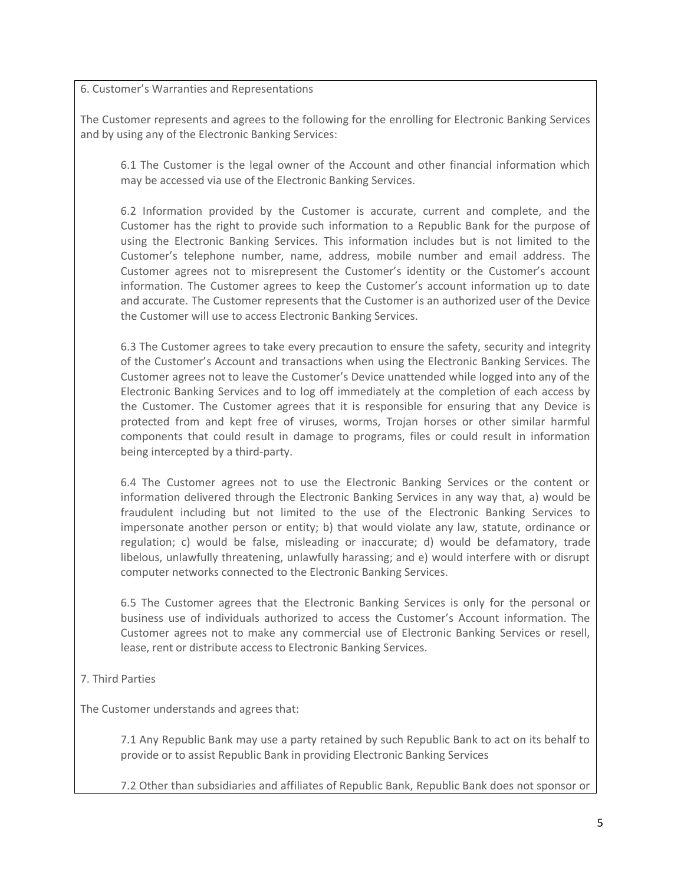6. Customer's Warranties and Representations

The Customer represents and agrees to the following for the enrolling for Electronic Banking Services and by using any of the Electronic Banking Services:

6.1 The Customer is the legal owner of the Account and other financial information which may be accessed via use of the Electronic Banking Services.

6.2 Information provided by the Customer is accurate, current and complete, and the Customer has the right to provide such information to a Republic Bank for the purpose of using the Electronic Banking Services. This information includes but is not limited to the Customer's telephone number, name, address, mobile number and email address. The Customer agrees not to misrepresent the Customer's identity or the Customer's account information. The Customer agrees to keep the Customer's account information up to date and accurate. The Customer represents that the Customer is an authorized user of the Device the Customer will use to access Electronic Banking Services.

6.3 The Customer agrees to take every precaution to ensure the safety, security and integrity of the Customer's Account and transactions when using the Electronic Banking Services. The Customer agrees not to leave the Customer's Device unattended while logged into any of the Electronic Banking Services and to log off immediately at the completion of each access by the Customer. The Customer agrees that it is responsible for ensuring that any Device is protected from and kept free of viruses, worms, Trojan horses or other similar harmful components that could result in damage to programs, files or could result in information being intercepted by a third-party.

6.4 The Customer agrees not to use the Electronic Banking Services or the content or information delivered through the Electronic Banking Services in any way that, a) would be fraudulent including but not limited to the use of the Electronic Banking Services to impersonate another person or entity; b) that would violate any law, statute, ordinance or regulation; c) would be false, misleading or inaccurate; d) would be defamatory, trade libelous, unlawfully threatening, unlawfully harassing; and e) would interfere with or disrupt computer networks connected to the Electronic Banking Services.

6.5 The Customer agrees that the Electronic Banking Services is only for the personal or business use of individuals authorized to access the Customer's Account information. The Customer agrees not to make any commercial use of Electronic Banking Services or resell, lease, rent or distribute access to Electronic Banking Services.

7. Third Parties

The Customer understands and agrees that:

7.1 Any Republic Bank may use a party retained by such Republic Bank to act on its behalf to provide or to assist Republic Bank in providing Electronic Banking Services

7.2 Other than subsidiaries and affiliates of Republic Bank, Republic Bank does not sponsor or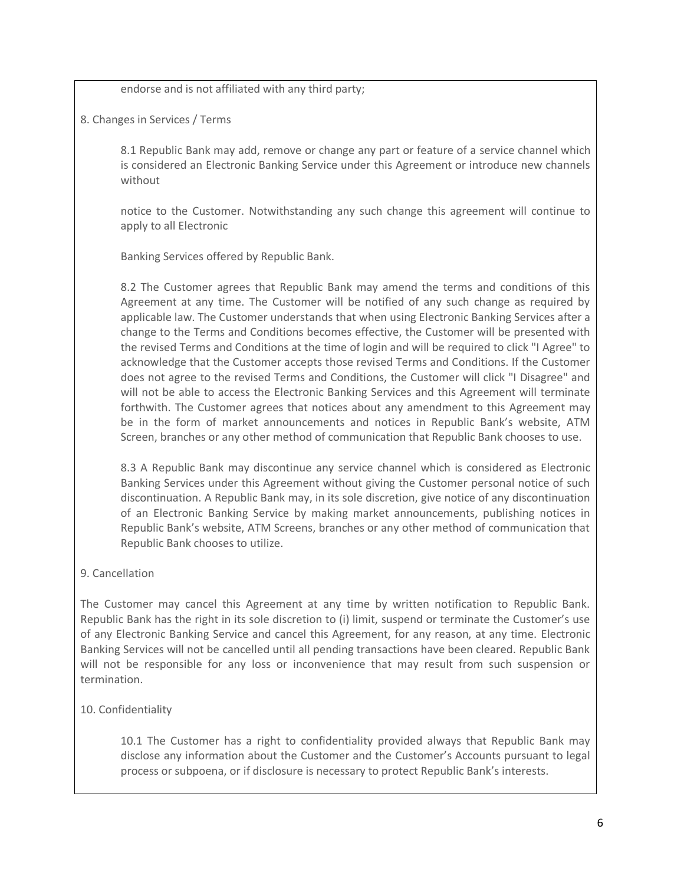endorse and is not affiliated with any third party;

8. Changes in Services / Terms

8.1 Republic Bank may add, remove or change any part or feature of a service channel which is considered an Electronic Banking Service under this Agreement or introduce new channels without

notice to the Customer. Notwithstanding any such change this agreement will continue to apply to all Electronic

Banking Services offered by Republic Bank.

8.2 The Customer agrees that Republic Bank may amend the terms and conditions of this Agreement at any time. The Customer will be notified of any such change as required by applicable law. The Customer understands that when using Electronic Banking Services after a change to the Terms and Conditions becomes effective, the Customer will be presented with the revised Terms and Conditions at the time of login and will be required to click "I Agree" to acknowledge that the Customer accepts those revised Terms and Conditions. If the Customer does not agree to the revised Terms and Conditions, the Customer will click "I Disagree" and will not be able to access the Electronic Banking Services and this Agreement will terminate forthwith. The Customer agrees that notices about any amendment to this Agreement may be in the form of market announcements and notices in Republic Bank's website, ATM Screen, branches or any other method of communication that Republic Bank chooses to use.

8.3 A Republic Bank may discontinue any service channel which is considered as Electronic Banking Services under this Agreement without giving the Customer personal notice of such discontinuation. A Republic Bank may, in its sole discretion, give notice of any discontinuation of an Electronic Banking Service by making market announcements, publishing notices in Republic Bank's website, ATM Screens, branches or any other method of communication that Republic Bank chooses to utilize.

# 9. Cancellation

The Customer may cancel this Agreement at any time by written notification to Republic Bank. Republic Bank has the right in its sole discretion to (i) limit, suspend or terminate the Customer's use of any Electronic Banking Service and cancel this Agreement, for any reason, at any time. Electronic Banking Services will not be cancelled until all pending transactions have been cleared. Republic Bank will not be responsible for any loss or inconvenience that may result from such suspension or termination.

# 10. Confidentiality

10.1 The Customer has a right to confidentiality provided always that Republic Bank may disclose any information about the Customer and the Customer's Accounts pursuant to legal process or subpoena, or if disclosure is necessary to protect Republic Bank's interests.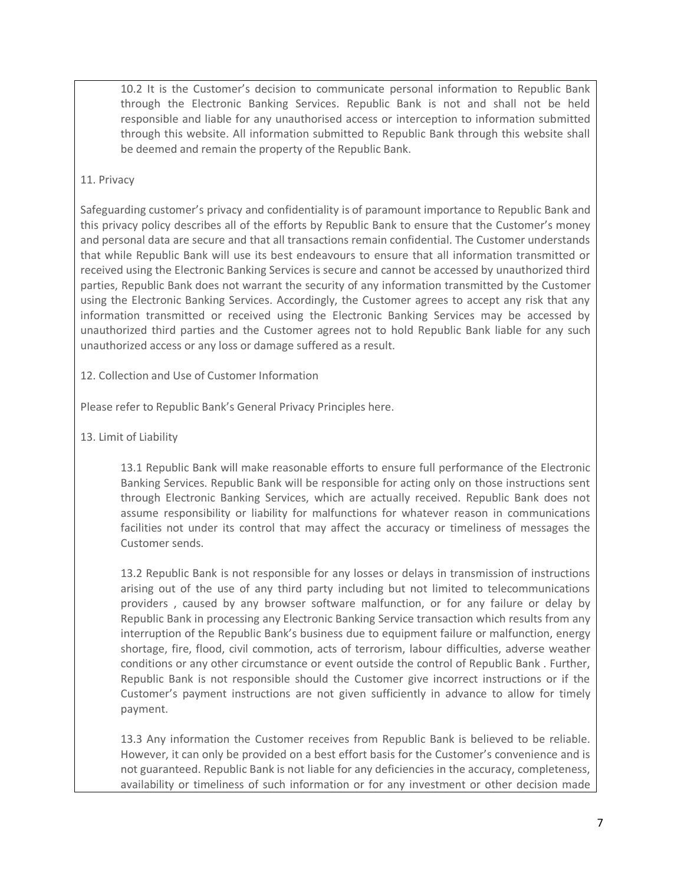10.2 It is the Customer's decision to communicate personal information to Republic Bank through the Electronic Banking Services. Republic Bank is not and shall not be held responsible and liable for any unauthorised access or interception to information submitted through this website. All information submitted to Republic Bank through this website shall be deemed and remain the property of the Republic Bank.

### 11. Privacy

Safeguarding customer's privacy and confidentiality is of paramount importance to Republic Bank and this privacy policy describes all of the efforts by Republic Bank to ensure that the Customer's money and personal data are secure and that all transactions remain confidential. The Customer understands that while Republic Bank will use its best endeavours to ensure that all information transmitted or received using the Electronic Banking Services is secure and cannot be accessed by unauthorized third parties, Republic Bank does not warrant the security of any information transmitted by the Customer using the Electronic Banking Services. Accordingly, the Customer agrees to accept any risk that any information transmitted or received using the Electronic Banking Services may be accessed by unauthorized third parties and the Customer agrees not to hold Republic Bank liable for any such unauthorized access or any loss or damage suffered as a result.

12. Collection and Use of Customer Information

Please refer to Republic Bank's General Privacy Principles here.

13. Limit of Liability

13.1 Republic Bank will make reasonable efforts to ensure full performance of the Electronic Banking Services. Republic Bank will be responsible for acting only on those instructions sent through Electronic Banking Services, which are actually received. Republic Bank does not assume responsibility or liability for malfunctions for whatever reason in communications facilities not under its control that may affect the accuracy or timeliness of messages the Customer sends.

13.2 Republic Bank is not responsible for any losses or delays in transmission of instructions arising out of the use of any third party including but not limited to telecommunications providers , caused by any browser software malfunction, or for any failure or delay by Republic Bank in processing any Electronic Banking Service transaction which results from any interruption of the Republic Bank's business due to equipment failure or malfunction, energy shortage, fire, flood, civil commotion, acts of terrorism, labour difficulties, adverse weather conditions or any other circumstance or event outside the control of Republic Bank . Further, Republic Bank is not responsible should the Customer give incorrect instructions or if the Customer's payment instructions are not given sufficiently in advance to allow for timely payment.

13.3 Any information the Customer receives from Republic Bank is believed to be reliable. However, it can only be provided on a best effort basis for the Customer's convenience and is not guaranteed. Republic Bank is not liable for any deficiencies in the accuracy, completeness, availability or timeliness of such information or for any investment or other decision made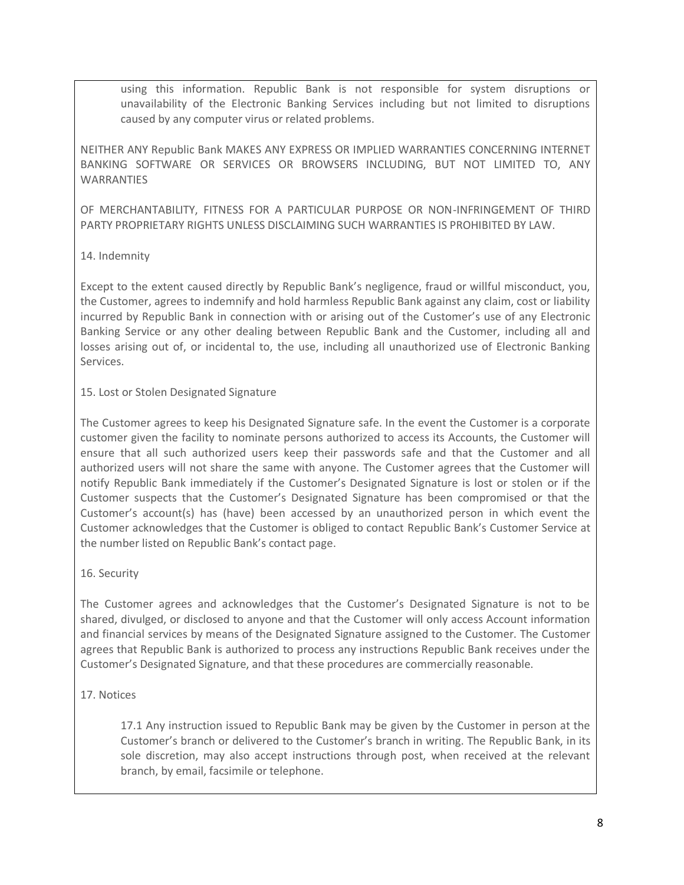using this information. Republic Bank is not responsible for system disruptions or unavailability of the Electronic Banking Services including but not limited to disruptions caused by any computer virus or related problems.

NEITHER ANY Republic Bank MAKES ANY EXPRESS OR IMPLIED WARRANTIES CONCERNING INTERNET BANKING SOFTWARE OR SERVICES OR BROWSERS INCLUDING, BUT NOT LIMITED TO, ANY WARRANTIES

OF MERCHANTABILITY, FITNESS FOR A PARTICULAR PURPOSE OR NON-INFRINGEMENT OF THIRD PARTY PROPRIETARY RIGHTS UNLESS DISCLAIMING SUCH WARRANTIES IS PROHIBITED BY LAW.

### 14. Indemnity

Except to the extent caused directly by Republic Bank's negligence, fraud or willful misconduct, you, the Customer, agrees to indemnify and hold harmless Republic Bank against any claim, cost or liability incurred by Republic Bank in connection with or arising out of the Customer's use of any Electronic Banking Service or any other dealing between Republic Bank and the Customer, including all and losses arising out of, or incidental to, the use, including all unauthorized use of Electronic Banking Services.

#### 15. Lost or Stolen Designated Signature

The Customer agrees to keep his Designated Signature safe. In the event the Customer is a corporate customer given the facility to nominate persons authorized to access its Accounts, the Customer will ensure that all such authorized users keep their passwords safe and that the Customer and all authorized users will not share the same with anyone. The Customer agrees that the Customer will notify Republic Bank immediately if the Customer's Designated Signature is lost or stolen or if the Customer suspects that the Customer's Designated Signature has been compromised or that the Customer's account(s) has (have) been accessed by an unauthorized person in which event the Customer acknowledges that the Customer is obliged to contact Republic Bank's Customer Service at the number listed on Republic Bank's contact page.

#### 16. Security

The Customer agrees and acknowledges that the Customer's Designated Signature is not to be shared, divulged, or disclosed to anyone and that the Customer will only access Account information and financial services by means of the Designated Signature assigned to the Customer. The Customer agrees that Republic Bank is authorized to process any instructions Republic Bank receives under the Customer's Designated Signature, and that these procedures are commercially reasonable.

# 17. Notices

17.1 Any instruction issued to Republic Bank may be given by the Customer in person at the Customer's branch or delivered to the Customer's branch in writing. The Republic Bank, in its sole discretion, may also accept instructions through post, when received at the relevant branch, by email, facsimile or telephone.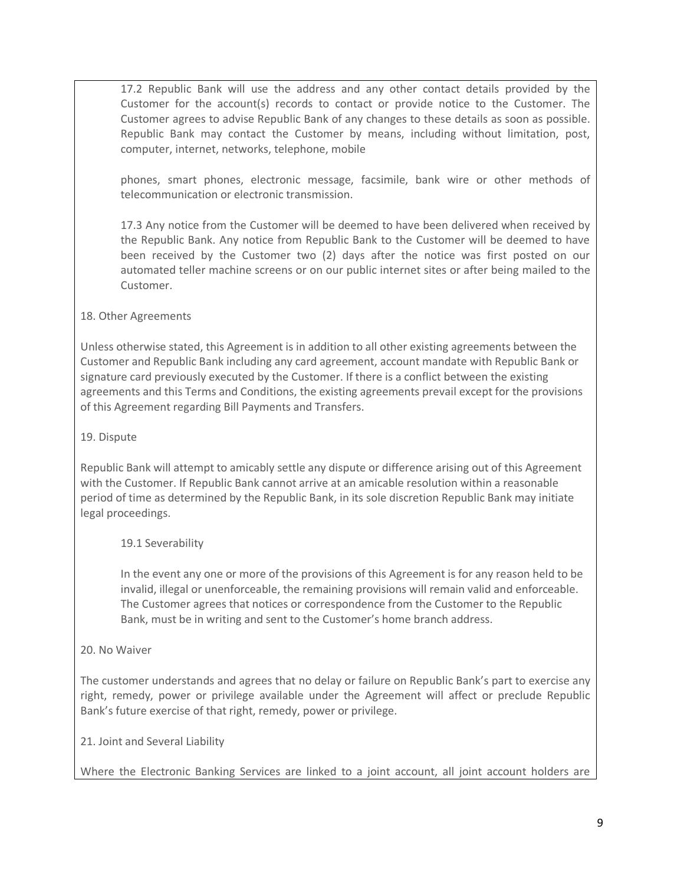17.2 Republic Bank will use the address and any other contact details provided by the Customer for the account(s) records to contact or provide notice to the Customer. The Customer agrees to advise Republic Bank of any changes to these details as soon as possible. Republic Bank may contact the Customer by means, including without limitation, post, computer, internet, networks, telephone, mobile

phones, smart phones, electronic message, facsimile, bank wire or other methods of telecommunication or electronic transmission.

17.3 Any notice from the Customer will be deemed to have been delivered when received by the Republic Bank. Any notice from Republic Bank to the Customer will be deemed to have been received by the Customer two (2) days after the notice was first posted on our automated teller machine screens or on our public internet sites or after being mailed to the Customer.

# 18. Other Agreements

Unless otherwise stated, this Agreement is in addition to all other existing agreements between the Customer and Republic Bank including any card agreement, account mandate with Republic Bank or signature card previously executed by the Customer. If there is a conflict between the existing agreements and this Terms and Conditions, the existing agreements prevail except for the provisions of this Agreement regarding Bill Payments and Transfers.

### 19. Dispute

Republic Bank will attempt to amicably settle any dispute or difference arising out of this Agreement with the Customer. If Republic Bank cannot arrive at an amicable resolution within a reasonable period of time as determined by the Republic Bank, in its sole discretion Republic Bank may initiate legal proceedings.

# 19.1 Severability

In the event any one or more of the provisions of this Agreement is for any reason held to be invalid, illegal or unenforceable, the remaining provisions will remain valid and enforceable. The Customer agrees that notices or correspondence from the Customer to the Republic Bank, must be in writing and sent to the Customer's home branch address.

#### 20. No Waiver

The customer understands and agrees that no delay or failure on Republic Bank's part to exercise any right, remedy, power or privilege available under the Agreement will affect or preclude Republic Bank's future exercise of that right, remedy, power or privilege.

# 21. Joint and Several Liability

Where the Electronic Banking Services are linked to a joint account, all joint account holders are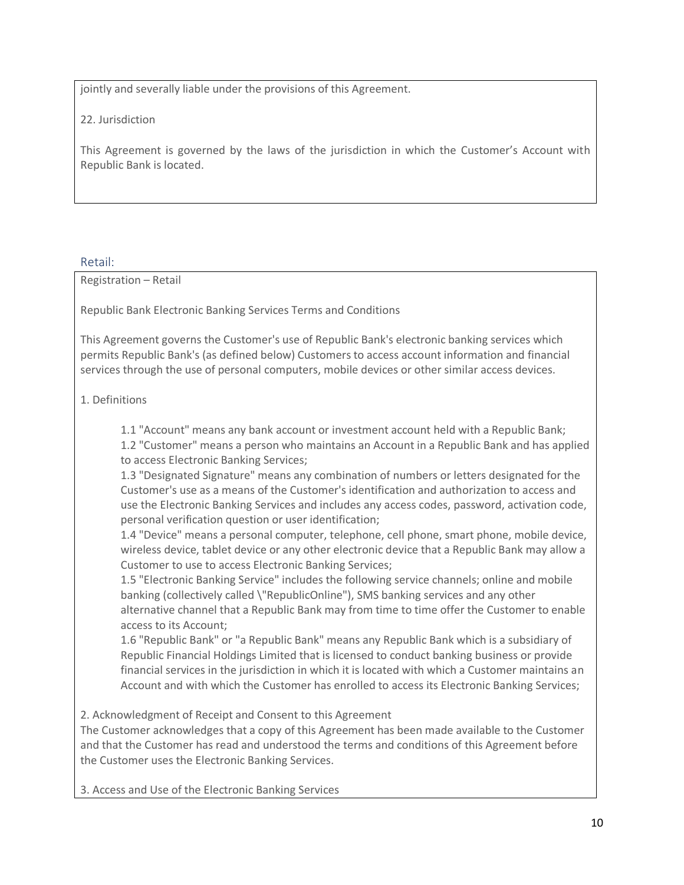jointly and severally liable under the provisions of this Agreement.

22. Jurisdiction

This Agreement is governed by the laws of the jurisdiction in which the Customer's Account with Republic Bank is located.

Retail:

Registration – Retail

Republic Bank Electronic Banking Services Terms and Conditions

This Agreement governs the Customer's use of Republic Bank's electronic banking services which permits Republic Bank's (as defined below) Customers to access account information and financial services through the use of personal computers, mobile devices or other similar access devices.

# 1. Definitions

1.1 "Account" means any bank account or investment account held with a Republic Bank; 1.2 "Customer" means a person who maintains an Account in a Republic Bank and has applied to access Electronic Banking Services;

1.3 "Designated Signature" means any combination of numbers or letters designated for the Customer's use as a means of the Customer's identification and authorization to access and use the Electronic Banking Services and includes any access codes, password, activation code, personal verification question or user identification;

1.4 "Device" means a personal computer, telephone, cell phone, smart phone, mobile device, wireless device, tablet device or any other electronic device that a Republic Bank may allow a Customer to use to access Electronic Banking Services;

1.5 "Electronic Banking Service" includes the following service channels; online and mobile banking (collectively called \"RepublicOnline"), SMS banking services and any other alternative channel that a Republic Bank may from time to time offer the Customer to enable access to its Account;

1.6 "Republic Bank" or "a Republic Bank" means any Republic Bank which is a subsidiary of Republic Financial Holdings Limited that is licensed to conduct banking business or provide financial services in the jurisdiction in which it is located with which a Customer maintains an Account and with which the Customer has enrolled to access its Electronic Banking Services;

2. Acknowledgment of Receipt and Consent to this Agreement

The Customer acknowledges that a copy of this Agreement has been made available to the Customer and that the Customer has read and understood the terms and conditions of this Agreement before the Customer uses the Electronic Banking Services.

3. Access and Use of the Electronic Banking Services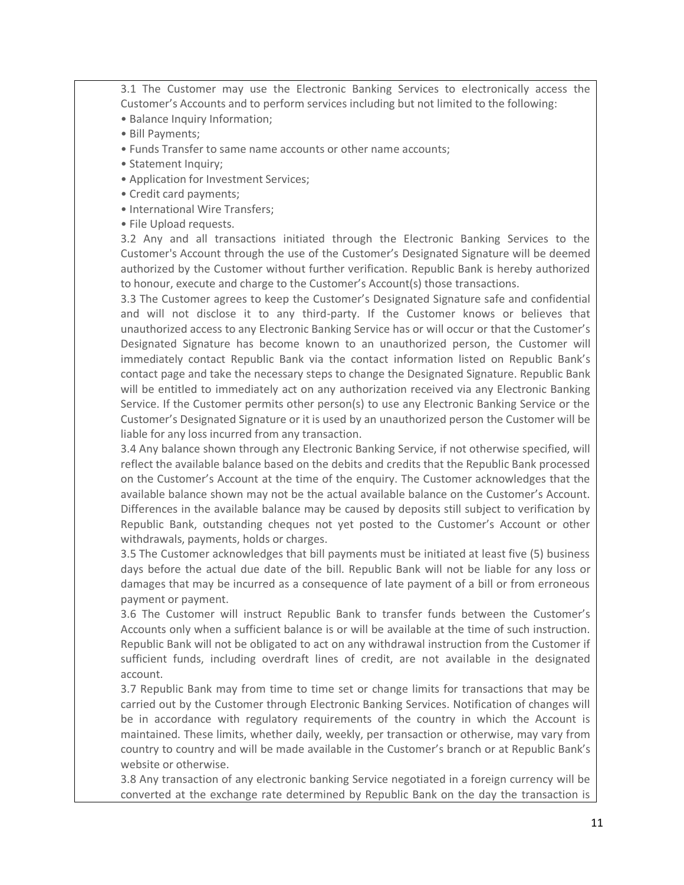3.1 The Customer may use the Electronic Banking Services to electronically access the Customer's Accounts and to perform services including but not limited to the following:

- Balance Inquiry Information;
- Bill Payments;
- Funds Transfer to same name accounts or other name accounts;
- Statement Inquiry;
- Application for Investment Services;
- Credit card payments;
- International Wire Transfers;
- File Upload requests.

3.2 Any and all transactions initiated through the Electronic Banking Services to the Customer's Account through the use of the Customer's Designated Signature will be deemed authorized by the Customer without further verification. Republic Bank is hereby authorized to honour, execute and charge to the Customer's Account(s) those transactions.

3.3 The Customer agrees to keep the Customer's Designated Signature safe and confidential and will not disclose it to any third-party. If the Customer knows or believes that unauthorized access to any Electronic Banking Service has or will occur or that the Customer's Designated Signature has become known to an unauthorized person, the Customer will immediately contact Republic Bank via the contact information listed on Republic Bank's contact page and take the necessary steps to change the Designated Signature. Republic Bank will be entitled to immediately act on any authorization received via any Electronic Banking Service. If the Customer permits other person(s) to use any Electronic Banking Service or the Customer's Designated Signature or it is used by an unauthorized person the Customer will be liable for any loss incurred from any transaction.

3.4 Any balance shown through any Electronic Banking Service, if not otherwise specified, will reflect the available balance based on the debits and credits that the Republic Bank processed on the Customer's Account at the time of the enquiry. The Customer acknowledges that the available balance shown may not be the actual available balance on the Customer's Account. Differences in the available balance may be caused by deposits still subject to verification by Republic Bank, outstanding cheques not yet posted to the Customer's Account or other withdrawals, payments, holds or charges.

3.5 The Customer acknowledges that bill payments must be initiated at least five (5) business days before the actual due date of the bill. Republic Bank will not be liable for any loss or damages that may be incurred as a consequence of late payment of a bill or from erroneous payment or payment.

3.6 The Customer will instruct Republic Bank to transfer funds between the Customer's Accounts only when a sufficient balance is or will be available at the time of such instruction. Republic Bank will not be obligated to act on any withdrawal instruction from the Customer if sufficient funds, including overdraft lines of credit, are not available in the designated account.

3.7 Republic Bank may from time to time set or change limits for transactions that may be carried out by the Customer through Electronic Banking Services. Notification of changes will be in accordance with regulatory requirements of the country in which the Account is maintained. These limits, whether daily, weekly, per transaction or otherwise, may vary from country to country and will be made available in the Customer's branch or at Republic Bank's website or otherwise.

3.8 Any transaction of any electronic banking Service negotiated in a foreign currency will be converted at the exchange rate determined by Republic Bank on the day the transaction is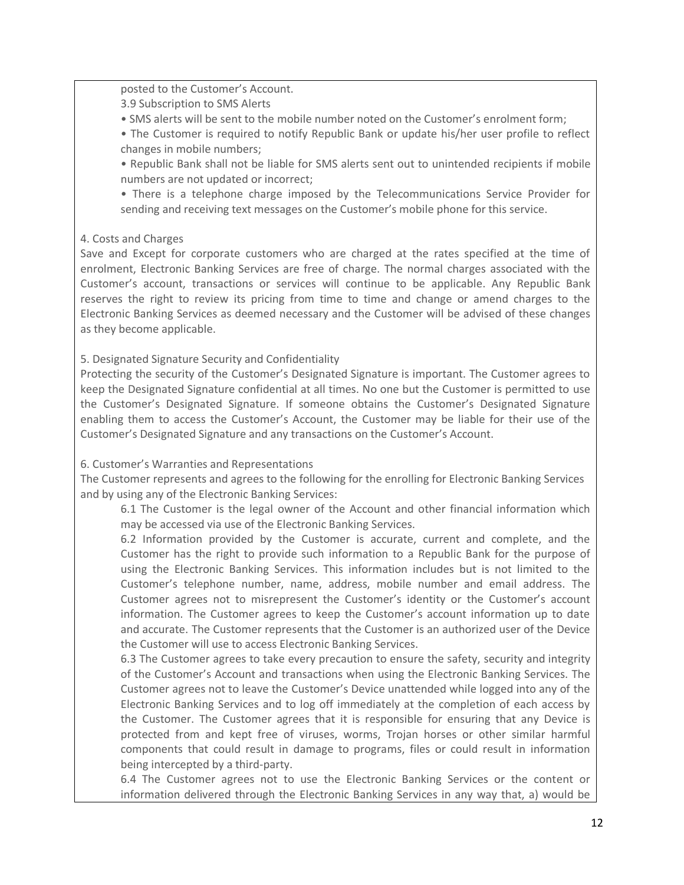posted to the Customer's Account.

3.9 Subscription to SMS Alerts

- SMS alerts will be sent to the mobile number noted on the Customer's enrolment form;
- The Customer is required to notify Republic Bank or update his/her user profile to reflect changes in mobile numbers;

• Republic Bank shall not be liable for SMS alerts sent out to unintended recipients if mobile numbers are not updated or incorrect;

• There is a telephone charge imposed by the Telecommunications Service Provider for sending and receiving text messages on the Customer's mobile phone for this service.

# 4. Costs and Charges

Save and Except for corporate customers who are charged at the rates specified at the time of enrolment, Electronic Banking Services are free of charge. The normal charges associated with the Customer's account, transactions or services will continue to be applicable. Any Republic Bank reserves the right to review its pricing from time to time and change or amend charges to the Electronic Banking Services as deemed necessary and the Customer will be advised of these changes as they become applicable.

# 5. Designated Signature Security and Confidentiality

Protecting the security of the Customer's Designated Signature is important. The Customer agrees to keep the Designated Signature confidential at all times. No one but the Customer is permitted to use the Customer's Designated Signature. If someone obtains the Customer's Designated Signature enabling them to access the Customer's Account, the Customer may be liable for their use of the Customer's Designated Signature and any transactions on the Customer's Account.

# 6. Customer's Warranties and Representations

The Customer represents and agrees to the following for the enrolling for Electronic Banking Services and by using any of the Electronic Banking Services:

6.1 The Customer is the legal owner of the Account and other financial information which may be accessed via use of the Electronic Banking Services.

6.2 Information provided by the Customer is accurate, current and complete, and the Customer has the right to provide such information to a Republic Bank for the purpose of using the Electronic Banking Services. This information includes but is not limited to the Customer's telephone number, name, address, mobile number and email address. The Customer agrees not to misrepresent the Customer's identity or the Customer's account information. The Customer agrees to keep the Customer's account information up to date and accurate. The Customer represents that the Customer is an authorized user of the Device the Customer will use to access Electronic Banking Services.

6.3 The Customer agrees to take every precaution to ensure the safety, security and integrity of the Customer's Account and transactions when using the Electronic Banking Services. The Customer agrees not to leave the Customer's Device unattended while logged into any of the Electronic Banking Services and to log off immediately at the completion of each access by the Customer. The Customer agrees that it is responsible for ensuring that any Device is protected from and kept free of viruses, worms, Trojan horses or other similar harmful components that could result in damage to programs, files or could result in information being intercepted by a third-party.

6.4 The Customer agrees not to use the Electronic Banking Services or the content or information delivered through the Electronic Banking Services in any way that, a) would be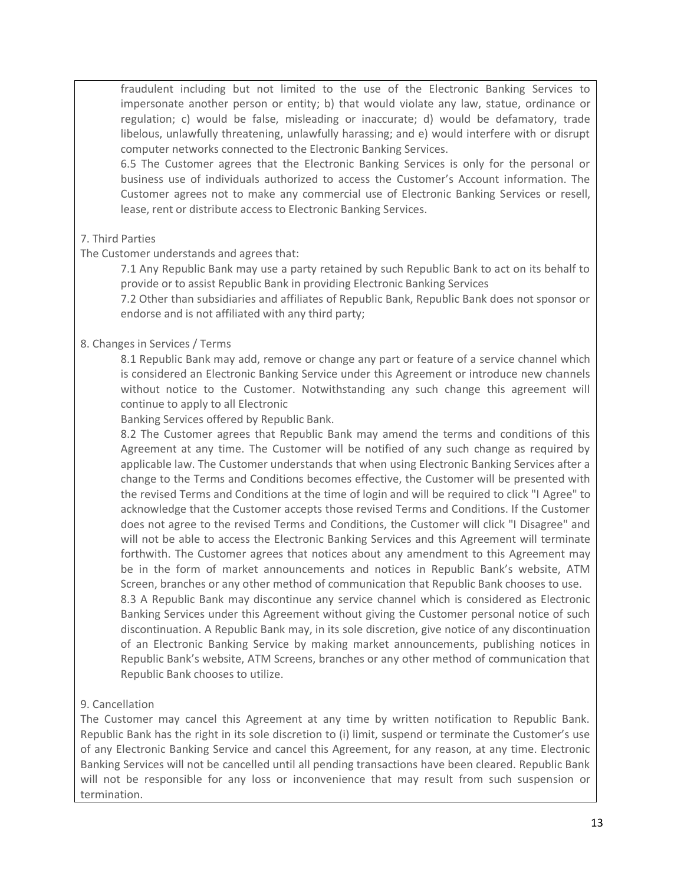fraudulent including but not limited to the use of the Electronic Banking Services to impersonate another person or entity; b) that would violate any law, statue, ordinance or regulation; c) would be false, misleading or inaccurate; d) would be defamatory, trade libelous, unlawfully threatening, unlawfully harassing; and e) would interfere with or disrupt computer networks connected to the Electronic Banking Services.

6.5 The Customer agrees that the Electronic Banking Services is only for the personal or business use of individuals authorized to access the Customer's Account information. The Customer agrees not to make any commercial use of Electronic Banking Services or resell, lease, rent or distribute access to Electronic Banking Services.

# 7. Third Parties

# The Customer understands and agrees that:

7.1 Any Republic Bank may use a party retained by such Republic Bank to act on its behalf to provide or to assist Republic Bank in providing Electronic Banking Services

7.2 Other than subsidiaries and affiliates of Republic Bank, Republic Bank does not sponsor or endorse and is not affiliated with any third party;

# 8. Changes in Services / Terms

8.1 Republic Bank may add, remove or change any part or feature of a service channel which is considered an Electronic Banking Service under this Agreement or introduce new channels without notice to the Customer. Notwithstanding any such change this agreement will continue to apply to all Electronic

Banking Services offered by Republic Bank.

8.2 The Customer agrees that Republic Bank may amend the terms and conditions of this Agreement at any time. The Customer will be notified of any such change as required by applicable law. The Customer understands that when using Electronic Banking Services after a change to the Terms and Conditions becomes effective, the Customer will be presented with the revised Terms and Conditions at the time of login and will be required to click "I Agree" to acknowledge that the Customer accepts those revised Terms and Conditions. If the Customer does not agree to the revised Terms and Conditions, the Customer will click "I Disagree" and will not be able to access the Electronic Banking Services and this Agreement will terminate forthwith. The Customer agrees that notices about any amendment to this Agreement may be in the form of market announcements and notices in Republic Bank's website, ATM Screen, branches or any other method of communication that Republic Bank chooses to use.

8.3 A Republic Bank may discontinue any service channel which is considered as Electronic Banking Services under this Agreement without giving the Customer personal notice of such discontinuation. A Republic Bank may, in its sole discretion, give notice of any discontinuation of an Electronic Banking Service by making market announcements, publishing notices in Republic Bank's website, ATM Screens, branches or any other method of communication that Republic Bank chooses to utilize.

# 9. Cancellation

The Customer may cancel this Agreement at any time by written notification to Republic Bank. Republic Bank has the right in its sole discretion to (i) limit, suspend or terminate the Customer's use of any Electronic Banking Service and cancel this Agreement, for any reason, at any time. Electronic Banking Services will not be cancelled until all pending transactions have been cleared. Republic Bank will not be responsible for any loss or inconvenience that may result from such suspension or termination.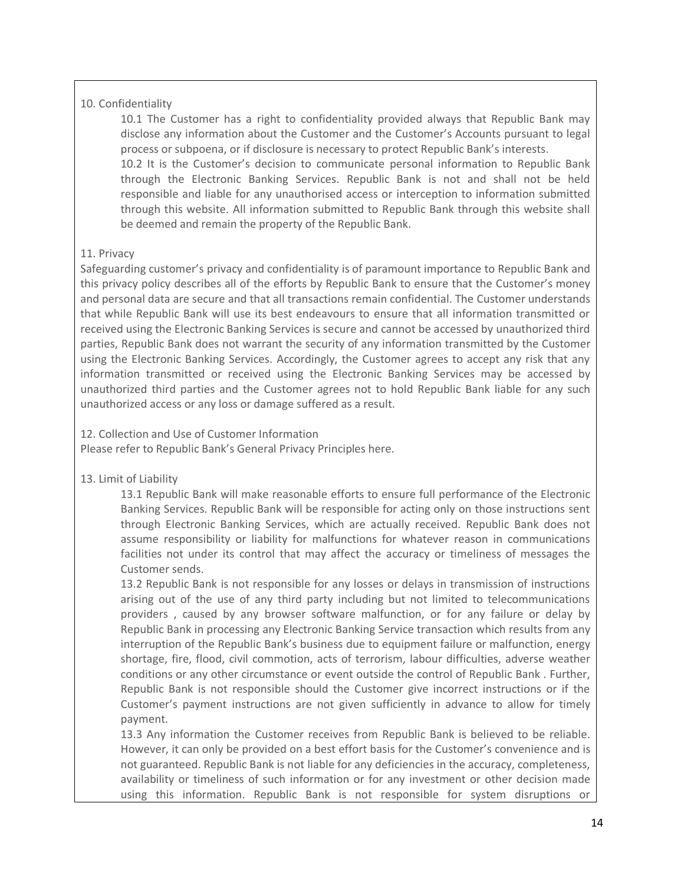# 10. Confidentiality

10.1 The Customer has a right to confidentiality provided always that Republic Bank may disclose any information about the Customer and the Customer's Accounts pursuant to legal process or subpoena, or if disclosure is necessary to protect Republic Bank's interests.

10.2 It is the Customer's decision to communicate personal information to Republic Bank through the Electronic Banking Services. Republic Bank is not and shall not be held responsible and liable for any unauthorised access or interception to information submitted through this website. All information submitted to Republic Bank through this website shall be deemed and remain the property of the Republic Bank.

### 11. Privacy

Safeguarding customer's privacy and confidentiality is of paramount importance to Republic Bank and this privacy policy describes all of the efforts by Republic Bank to ensure that the Customer's money and personal data are secure and that all transactions remain confidential. The Customer understands that while Republic Bank will use its best endeavours to ensure that all information transmitted or received using the Electronic Banking Services is secure and cannot be accessed by unauthorized third parties, Republic Bank does not warrant the security of any information transmitted by the Customer using the Electronic Banking Services. Accordingly, the Customer agrees to accept any risk that any information transmitted or received using the Electronic Banking Services may be accessed by unauthorized third parties and the Customer agrees not to hold Republic Bank liable for any such unauthorized access or any loss or damage suffered as a result.

#### 12. Collection and Use of Customer Information

Please refer to Republic Bank's General Privacy Principles here.

# 13. Limit of Liability

13.1 Republic Bank will make reasonable efforts to ensure full performance of the Electronic Banking Services. Republic Bank will be responsible for acting only on those instructions sent through Electronic Banking Services, which are actually received. Republic Bank does not assume responsibility or liability for malfunctions for whatever reason in communications facilities not under its control that may affect the accuracy or timeliness of messages the Customer sends.

13.2 Republic Bank is not responsible for any losses or delays in transmission of instructions arising out of the use of any third party including but not limited to telecommunications providers , caused by any browser software malfunction, or for any failure or delay by Republic Bank in processing any Electronic Banking Service transaction which results from any interruption of the Republic Bank's business due to equipment failure or malfunction, energy shortage, fire, flood, civil commotion, acts of terrorism, labour difficulties, adverse weather conditions or any other circumstance or event outside the control of Republic Bank . Further, Republic Bank is not responsible should the Customer give incorrect instructions or if the Customer's payment instructions are not given sufficiently in advance to allow for timely payment.

13.3 Any information the Customer receives from Republic Bank is believed to be reliable. However, it can only be provided on a best effort basis for the Customer's convenience and is not guaranteed. Republic Bank is not liable for any deficiencies in the accuracy, completeness, availability or timeliness of such information or for any investment or other decision made using this information. Republic Bank is not responsible for system disruptions or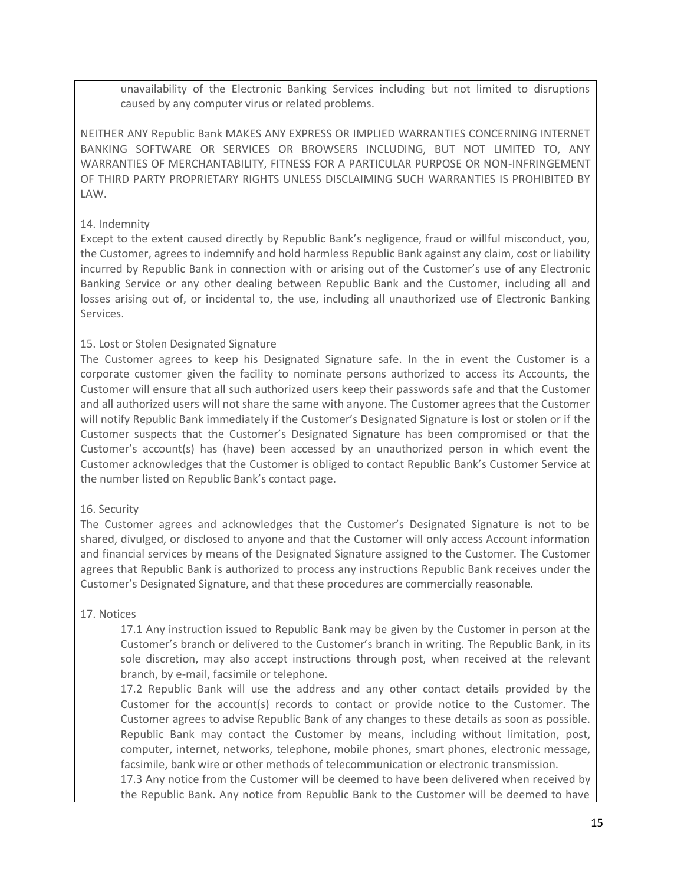unavailability of the Electronic Banking Services including but not limited to disruptions caused by any computer virus or related problems.

NEITHER ANY Republic Bank MAKES ANY EXPRESS OR IMPLIED WARRANTIES CONCERNING INTERNET BANKING SOFTWARE OR SERVICES OR BROWSERS INCLUDING, BUT NOT LIMITED TO, ANY WARRANTIES OF MERCHANTABILITY, FITNESS FOR A PARTICULAR PURPOSE OR NON-INFRINGEMENT OF THIRD PARTY PROPRIETARY RIGHTS UNLESS DISCLAIMING SUCH WARRANTIES IS PROHIBITED BY LAW.

# 14. Indemnity

Except to the extent caused directly by Republic Bank's negligence, fraud or willful misconduct, you, the Customer, agrees to indemnify and hold harmless Republic Bank against any claim, cost or liability incurred by Republic Bank in connection with or arising out of the Customer's use of any Electronic Banking Service or any other dealing between Republic Bank and the Customer, including all and losses arising out of, or incidental to, the use, including all unauthorized use of Electronic Banking Services.

# 15. Lost or Stolen Designated Signature

The Customer agrees to keep his Designated Signature safe. In the in event the Customer is a corporate customer given the facility to nominate persons authorized to access its Accounts, the Customer will ensure that all such authorized users keep their passwords safe and that the Customer and all authorized users will not share the same with anyone. The Customer agrees that the Customer will notify Republic Bank immediately if the Customer's Designated Signature is lost or stolen or if the Customer suspects that the Customer's Designated Signature has been compromised or that the Customer's account(s) has (have) been accessed by an unauthorized person in which event the Customer acknowledges that the Customer is obliged to contact Republic Bank's Customer Service at the number listed on Republic Bank's contact page.

# 16. Security

The Customer agrees and acknowledges that the Customer's Designated Signature is not to be shared, divulged, or disclosed to anyone and that the Customer will only access Account information and financial services by means of the Designated Signature assigned to the Customer. The Customer agrees that Republic Bank is authorized to process any instructions Republic Bank receives under the Customer's Designated Signature, and that these procedures are commercially reasonable.

# 17. Notices

17.1 Any instruction issued to Republic Bank may be given by the Customer in person at the Customer's branch or delivered to the Customer's branch in writing. The Republic Bank, in its sole discretion, may also accept instructions through post, when received at the relevant branch, by e-mail, facsimile or telephone.

17.2 Republic Bank will use the address and any other contact details provided by the Customer for the account(s) records to contact or provide notice to the Customer. The Customer agrees to advise Republic Bank of any changes to these details as soon as possible. Republic Bank may contact the Customer by means, including without limitation, post, computer, internet, networks, telephone, mobile phones, smart phones, electronic message, facsimile, bank wire or other methods of telecommunication or electronic transmission.

17.3 Any notice from the Customer will be deemed to have been delivered when received by the Republic Bank. Any notice from Republic Bank to the Customer will be deemed to have